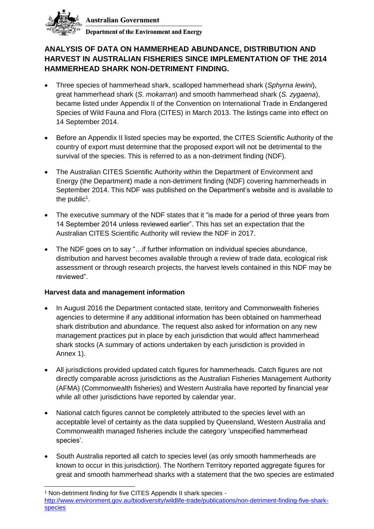

**Australian Government** 

**Department of the Environment and Energy** 

## **ANALYSIS OF DATA ON HAMMERHEAD ABUNDANCE, DISTRIBUTION AND HARVEST IN AUSTRALIAN FISHERIES SINCE IMPLEMENTATION OF THE 2014 HAMMERHEAD SHARK NON-DETRIMENT FINDING.**

- Three species of hammerhead shark, scalloped hammerhead shark (*Sphyrna lewini*), great hammerhead shark (*S. mokarran*) and smooth hammerhead shark (*S. zygaena*), became listed under Appendix II of the Convention on International Trade in Endangered Species of Wild Fauna and Flora (CITES) in March 2013. The listings came into effect on 14 September 2014.
- Before an Appendix II listed species may be exported, the CITES Scientific Authority of the country of export must determine that the proposed export will not be detrimental to the survival of the species. This is referred to as a non-detriment finding (NDF).
- The Australian CITES Scientific Authority within the Department of Environment and Energy (the Department) made a non-detriment finding (NDF) covering hammerheads in September 2014. This NDF was published on the Department's website and is available to the public<sup>1</sup>.
- The executive summary of the NDF states that it "is made for a period of three years from 14 September 2014 unless reviewed earlier". This has set an expectation that the Australian CITES Scientific Authority will review the NDF in 2017.
- The NDF goes on to say "…if further information on individual species abundance, distribution and harvest becomes available through a review of trade data, ecological risk assessment or through research projects, the harvest levels contained in this NDF may be reviewed".

## **Harvest data and management information**

- In August 2016 the Department contacted state, territory and Commonwealth fisheries agencies to determine if any additional information has been obtained on hammerhead shark distribution and abundance. The request also asked for information on any new management practices put in place by each jurisdiction that would affect hammerhead shark stocks (A summary of actions undertaken by each jurisdiction is provided in Annex 1).
- All jurisdictions provided updated catch figures for hammerheads. Catch figures are not directly comparable across jurisdictions as the Australian Fisheries Management Authority (AFMA) (Commonwealth fisheries) and Western Australia have reported by financial year while all other jurisdictions have reported by calendar year.
- National catch figures cannot be completely attributed to the species level with an acceptable level of certainty as the data supplied by Queensland, Western Australia and Commonwealth managed fisheries include the category 'unspecified hammerhead species'.
- South Australia reported all catch to species level (as only smooth hammerheads are known to occur in this jurisdiction). The Northern Territory reported aggregate figures for great and smooth hammerhead sharks with a statement that the two species are estimated

 <sup>1</sup> Non-detriment finding for five CITES Appendix II shark species [http://www.environment.gov.au/biodiversity/wildlife-trade/publications/non-detriment-finding-five-shark](http://www.environment.gov.au/biodiversity/wildlife-trade/publications/non-detriment-finding-five-shark-species)[species](http://www.environment.gov.au/biodiversity/wildlife-trade/publications/non-detriment-finding-five-shark-species)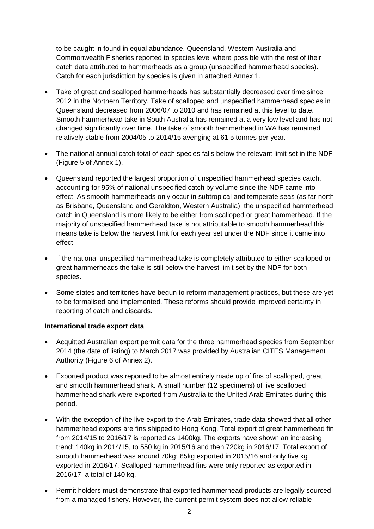to be caught in found in equal abundance. Queensland, Western Australia and Commonwealth Fisheries reported to species level where possible with the rest of their catch data attributed to hammerheads as a group (unspecified hammerhead species). Catch for each jurisdiction by species is given in attached Annex 1.

- Take of great and scalloped hammerheads has substantially decreased over time since 2012 in the Northern Territory. Take of scalloped and unspecified hammerhead species in Queensland decreased from 2006/07 to 2010 and has remained at this level to date. Smooth hammerhead take in South Australia has remained at a very low level and has not changed significantly over time. The take of smooth hammerhead in WA has remained relatively stable from 2004/05 to 2014/15 avenging at 61.5 tonnes per year.
- The national annual catch total of each species falls below the relevant limit set in the NDF (Figure 5 of Annex 1).
- Queensland reported the largest proportion of unspecified hammerhead species catch, accounting for 95% of national unspecified catch by volume since the NDF came into effect. As smooth hammerheads only occur in subtropical and temperate seas (as far north as Brisbane, Queensland and Geraldton, Western Australia), the unspecified hammerhead catch in Queensland is more likely to be either from scalloped or great hammerhead. If the majority of unspecified hammerhead take is not attributable to smooth hammerhead this means take is below the harvest limit for each year set under the NDF since it came into effect.
- If the national unspecified hammerhead take is completely attributed to either scalloped or great hammerheads the take is still below the harvest limit set by the NDF for both species.
- Some states and territories have begun to reform management practices, but these are yet to be formalised and implemented. These reforms should provide improved certainty in reporting of catch and discards.

#### **International trade export data**

- Acquitted Australian export permit data for the three hammerhead species from September 2014 (the date of listing) to March 2017 was provided by Australian CITES Management Authority (Figure 6 of Annex 2).
- Exported product was reported to be almost entirely made up of fins of scalloped, great and smooth hammerhead shark. A small number (12 specimens) of live scalloped hammerhead shark were exported from Australia to the United Arab Emirates during this period.
- With the exception of the live export to the Arab Emirates, trade data showed that all other hammerhead exports are fins shipped to Hong Kong. Total export of great hammerhead fin from 2014/15 to 2016/17 is reported as 1400kg. The exports have shown an increasing trend: 140kg in 2014/15, to 550 kg in 2015/16 and then 720kg in 2016/17. Total export of smooth hammerhead was around 70kg: 65kg exported in 2015/16 and only five kg exported in 2016/17. Scalloped hammerhead fins were only reported as exported in 2016/17; a total of 140 kg.
- Permit holders must demonstrate that exported hammerhead products are legally sourced from a managed fishery. However, the current permit system does not allow reliable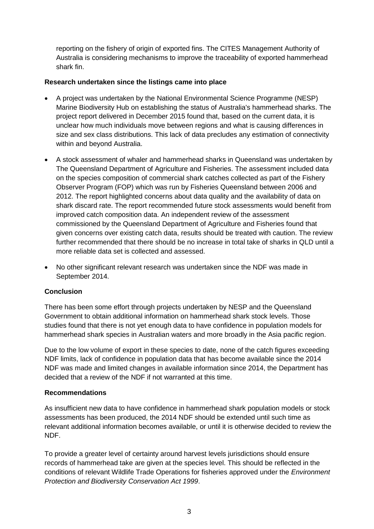reporting on the fishery of origin of exported fins. The CITES Management Authority of Australia is considering mechanisms to improve the traceability of exported hammerhead shark fin.

### **Research undertaken since the listings came into place**

- A project was undertaken by the National Environmental Science Programme (NESP) Marine Biodiversity Hub on establishing the status of Australia's hammerhead sharks. The project report delivered in December 2015 found that, based on the current data, it is unclear how much individuals move between regions and what is causing differences in size and sex class distributions. This lack of data precludes any estimation of connectivity within and beyond Australia.
- A stock assessment of whaler and hammerhead sharks in Queensland was undertaken by The Queensland Department of Agriculture and Fisheries. The assessment included data on the species composition of commercial shark catches collected as part of the Fishery Observer Program (FOP) which was run by Fisheries Queensland between 2006 and 2012. The report highlighted concerns about data quality and the availability of data on shark discard rate. The report recommended future stock assessments would benefit from improved catch composition data. An independent review of the assessment commissioned by the Queensland Department of Agriculture and Fisheries found that given concerns over existing catch data, results should be treated with caution. The review further recommended that there should be no increase in total take of sharks in QLD until a more reliable data set is collected and assessed.
- No other significant relevant research was undertaken since the NDF was made in September 2014.

## **Conclusion**

There has been some effort through projects undertaken by NESP and the Queensland Government to obtain additional information on hammerhead shark stock levels. Those studies found that there is not yet enough data to have confidence in population models for hammerhead shark species in Australian waters and more broadly in the Asia pacific region.

Due to the low volume of export in these species to date, none of the catch figures exceeding NDF limits, lack of confidence in population data that has become available since the 2014 NDF was made and limited changes in available information since 2014, the Department has decided that a review of the NDF if not warranted at this time.

#### **Recommendations**

As insufficient new data to have confidence in hammerhead shark population models or stock assessments has been produced, the 2014 NDF should be extended until such time as relevant additional information becomes available, or until it is otherwise decided to review the NDF.

To provide a greater level of certainty around harvest levels jurisdictions should ensure records of hammerhead take are given at the species level. This should be reflected in the conditions of relevant Wildlife Trade Operations for fisheries approved under the *Environment Protection and Biodiversity Conservation Act 1999*.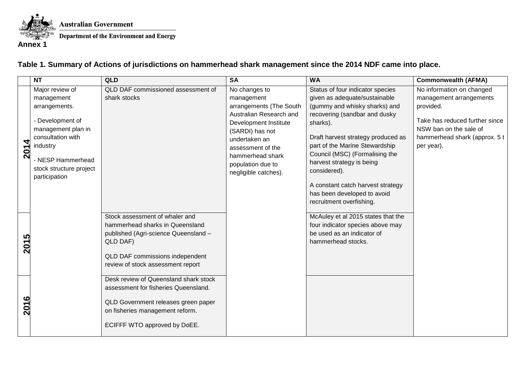

**Australian Government** Department of the Environment and Energy

**Annex 1**

# **Table 1. Summary of Actions of jurisdictions on hammerhead shark management since the 2014 NDF came into place.**

|          | <b>NT</b>                                                                                                                                                                                  | QLD                                                                                                                                                                                                                                    | <b>SA</b>                                                                                                                                                                                                                            | <b>WA</b>                                                                                                                                                                                                                                                                                                                                                                                              | <b>Commonwealth (AFMA)</b>                                                                                                                                                   |
|----------|--------------------------------------------------------------------------------------------------------------------------------------------------------------------------------------------|----------------------------------------------------------------------------------------------------------------------------------------------------------------------------------------------------------------------------------------|--------------------------------------------------------------------------------------------------------------------------------------------------------------------------------------------------------------------------------------|--------------------------------------------------------------------------------------------------------------------------------------------------------------------------------------------------------------------------------------------------------------------------------------------------------------------------------------------------------------------------------------------------------|------------------------------------------------------------------------------------------------------------------------------------------------------------------------------|
| 4<br>201 | Major review of<br>management<br>arrangements.<br>- Development of<br>management plan in<br>consultation with<br>industry<br>- NESP Hammerhead<br>stock structure project<br>participation | QLD DAF commissioned assessment of<br>shark stocks                                                                                                                                                                                     | No changes to<br>management<br>arrangements (The South<br>Australian Research and<br>Development Institute<br>(SARDI) has not<br>undertaken an<br>assessment of the<br>hammerhead shark<br>population due to<br>negligible catches). | Status of four indicator species<br>given as adequate/sustainable<br>(gummy and whisky sharks) and<br>recovering (sandbar and dusky<br>sharks).<br>Draft harvest strategy produced as<br>part of the Marine Stewardship<br>Council (MSC) (Formalising the<br>harvest strategy is being<br>considered).<br>A constant catch harvest strategy<br>has been developed to avoid<br>recruitment overfishing. | No information on changed<br>management arrangements<br>provided.<br>Take has reduced further since<br>NSW ban on the sale of<br>hammerhead shark (approx. 5 t<br>per year). |
| 5<br>201 |                                                                                                                                                                                            | Stock assessment of whaler and<br>hammerhead sharks in Queensland<br>published (Agri-science Queensland -<br>QLD DAF)<br>QLD DAF commissions independent<br>review of stock assessment report<br>Desk review of Queensland shark stock |                                                                                                                                                                                                                                      | McAuley et al 2015 states that the<br>four indicator species above may<br>be used as an indicator of<br>hammerhead stocks.                                                                                                                                                                                                                                                                             |                                                                                                                                                                              |
| ဖ<br>201 |                                                                                                                                                                                            | assessment for fisheries Queensland.<br>QLD Government releases green paper<br>on fisheries management reform.<br>ECIFFF WTO approved by DoEE.                                                                                         |                                                                                                                                                                                                                                      |                                                                                                                                                                                                                                                                                                                                                                                                        |                                                                                                                                                                              |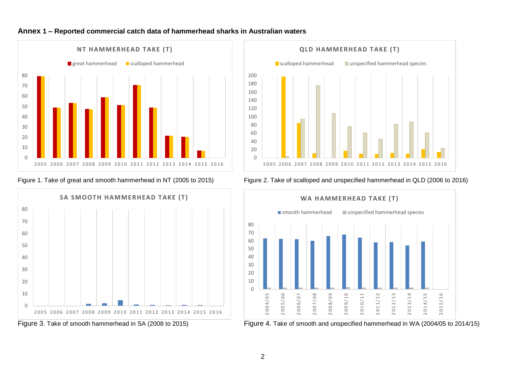









Figure 1. Take of great and smooth hammerhead in NT (2005 to 2015) Figure 2. Take of scalloped and unspecified hammerhead in QLD (2006 to 2016)



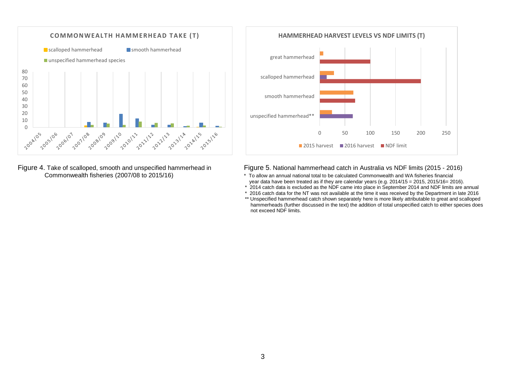

Figure 4. Take of scalloped, smooth and unspecified hammerhead in Figure 5. National hammerhead catch in Australia vs NDF limits (2015 - 2016)<br>Commonwealth fisheries (2007/08 to 2015/16) **Figure 5. National hammerhead comm** 



- \* To allow an annual national total to be calculated Commonwealth and WA fisheries financial year data have been treated as if they are calendar years (e.g. 2014/15 = 2015, 2015/16= 2016).
- \* 2014 catch data is excluded as the NDF came into place in September 2014 and NDF limits are annual
- \* 2016 catch data for the NT was not available at the time it was received by the Department in late 2016
- \*\* Unspecified hammerhead catch shown separately here is more likely attributable to great and scalloped hammerheads (further discussed in the text) the addition of total unspecified catch to either species does not exceed NDF limits.